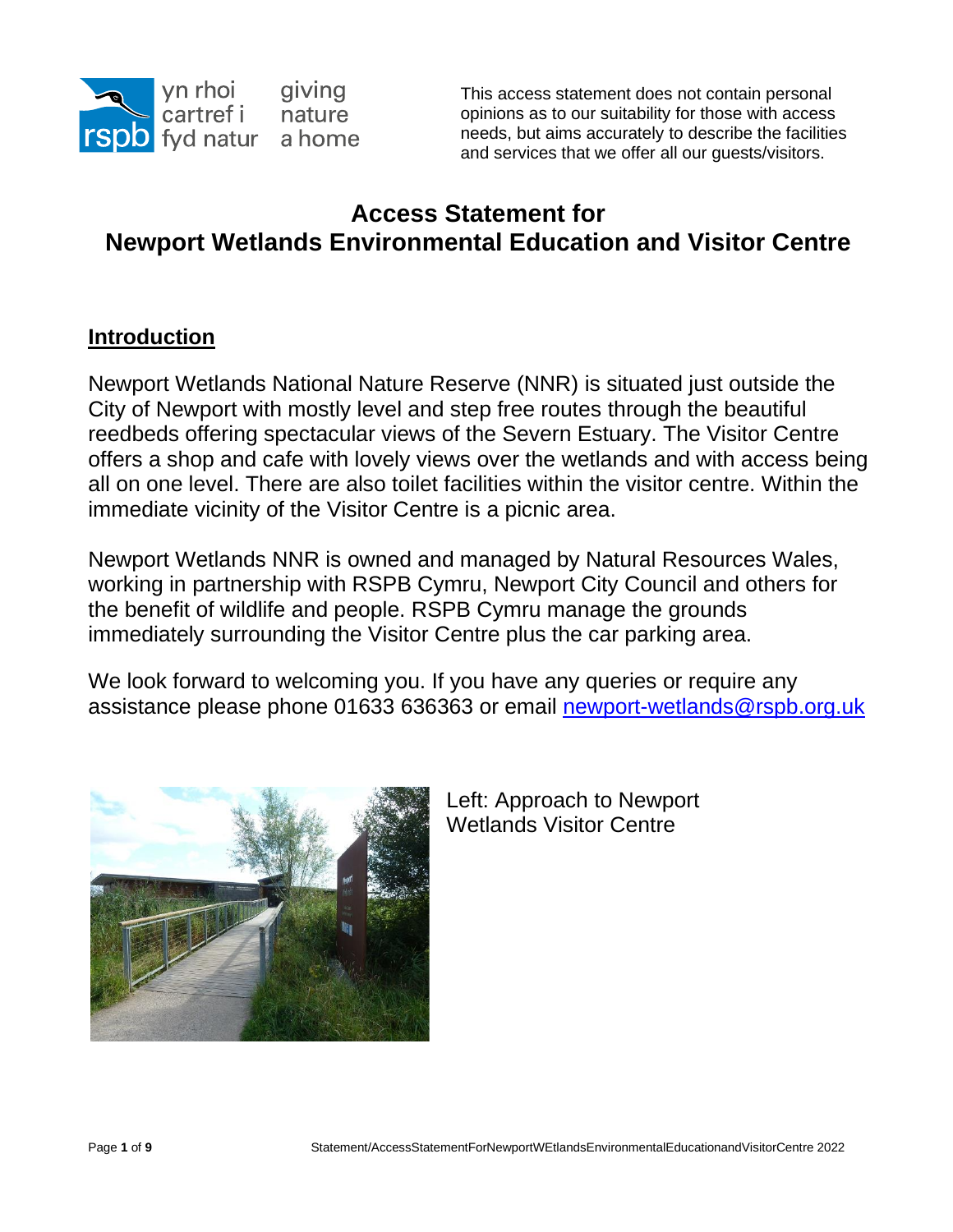

This access statement does not contain personal opinions as to our suitability for those with access needs, but aims accurately to describe the facilities and services that we offer all our guests/visitors.

# **Access Statement for Newport Wetlands Environmental Education and Visitor Centre**

#### **Introduction**

Newport Wetlands National Nature Reserve (NNR) is situated just outside the City of Newport with mostly level and step free routes through the beautiful reedbeds offering spectacular views of the Severn Estuary. The Visitor Centre offers a shop and cafe with lovely views over the wetlands and with access being all on one level. There are also toilet facilities within the visitor centre. Within the immediate vicinity of the Visitor Centre is a picnic area.

Newport Wetlands NNR is owned and managed by Natural Resources Wales, working in partnership with RSPB Cymru, Newport City Council and others for the benefit of wildlife and people. RSPB Cymru manage the grounds immediately surrounding the Visitor Centre plus the car parking area.

We look forward to welcoming you. If you have any queries or require any assistance please phone 01633 636363 or email [newport-wetlands@rspb.org.uk](mailto:newport-wetlands@rspb.org.uk)



Left: Approach to Newport Wetlands Visitor Centre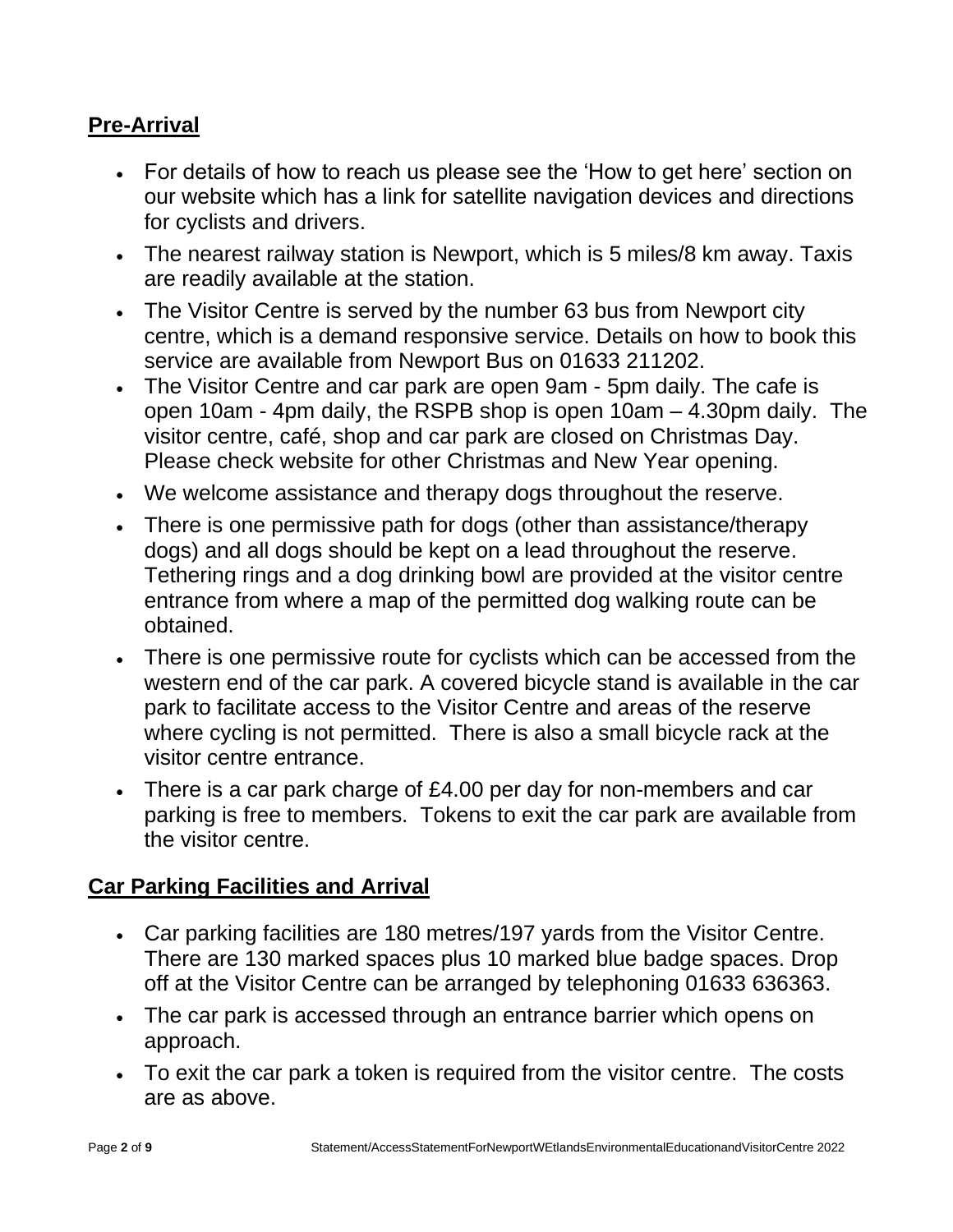## **Pre-Arrival**

- For details of how to reach us please see the 'How to get here' section on our website which has a link for satellite navigation devices and directions for cyclists and drivers.
- The nearest railway station is Newport, which is 5 miles/8 km away. Taxis are readily available at the station.
- The Visitor Centre is served by the number 63 bus from Newport city centre, which is a demand responsive service. Details on how to book this service are available from Newport Bus on 01633 211202.
- The Visitor Centre and car park are open 9am 5pm daily. The cafe is open 10am - 4pm daily, the RSPB shop is open 10am – 4.30pm daily. The visitor centre, café, shop and car park are closed on Christmas Day. Please check website for other Christmas and New Year opening.
- We welcome assistance and therapy dogs throughout the reserve.
- There is one permissive path for dogs (other than assistance/therapy dogs) and all dogs should be kept on a lead throughout the reserve. Tethering rings and a dog drinking bowl are provided at the visitor centre entrance from where a map of the permitted dog walking route can be obtained.
- There is one permissive route for cyclists which can be accessed from the western end of the car park. A covered bicycle stand is available in the car park to facilitate access to the Visitor Centre and areas of the reserve where cycling is not permitted. There is also a small bicycle rack at the visitor centre entrance.
- There is a car park charge of £4.00 per day for non-members and car parking is free to members. Tokens to exit the car park are available from the visitor centre.

#### **Car Parking Facilities and Arrival**

- Car parking facilities are 180 metres/197 yards from the Visitor Centre. There are 130 marked spaces plus 10 marked blue badge spaces. Drop off at the Visitor Centre can be arranged by telephoning 01633 636363.
- The car park is accessed through an entrance barrier which opens on approach.
- To exit the car park a token is required from the visitor centre. The costs are as above.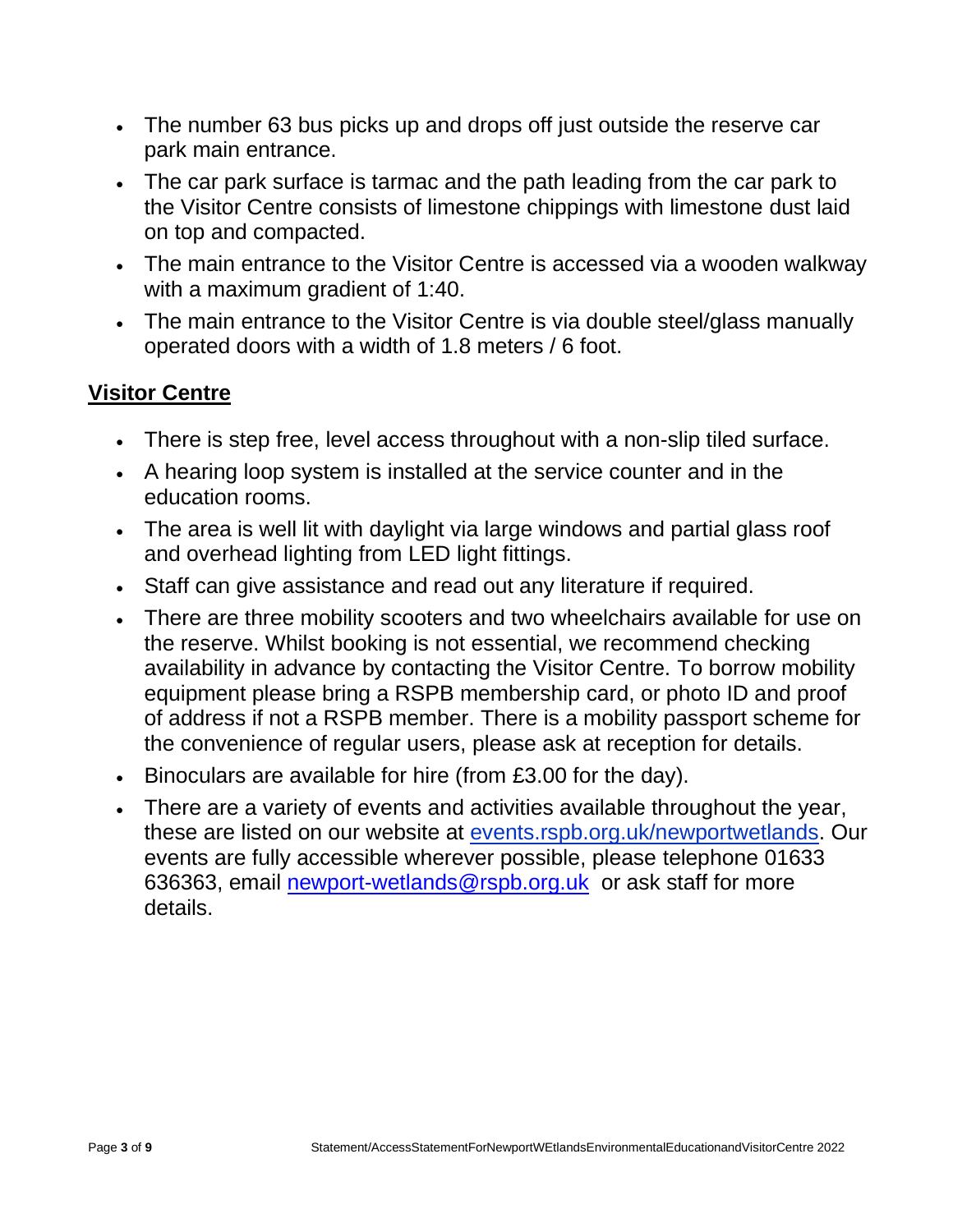- The number 63 bus picks up and drops off just outside the reserve car park main entrance.
- The car park surface is tarmac and the path leading from the car park to the Visitor Centre consists of limestone chippings with limestone dust laid on top and compacted.
- The main entrance to the Visitor Centre is accessed via a wooden walkway with a maximum gradient of 1:40.
- The main entrance to the Visitor Centre is via double steel/glass manually operated doors with a width of 1.8 meters / 6 foot.

## **Visitor Centre**

- There is step free, level access throughout with a non-slip tiled surface.
- A hearing loop system is installed at the service counter and in the education rooms.
- The area is well lit with daylight via large windows and partial glass roof and overhead lighting from LED light fittings.
- Staff can give assistance and read out any literature if required.
- There are three mobility scooters and two wheelchairs available for use on the reserve. Whilst booking is not essential, we recommend checking availability in advance by contacting the Visitor Centre. To borrow mobility equipment please bring a RSPB membership card, or photo ID and proof of address if not a RSPB member. There is a mobility passport scheme for the convenience of regular users, please ask at reception for details.
- Binoculars are available for hire (from £3.00 for the day).
- There are a variety of events and activities available throughout the year, these are listed on our website at events.rspb.org.uk/newportwetlands. Our events are fully accessible wherever possible, please telephone 01633 636363, email [newport-wetlands@rspb.org.uk](mailto:newport-wetlands@rspb.org.uk) or ask staff for more details.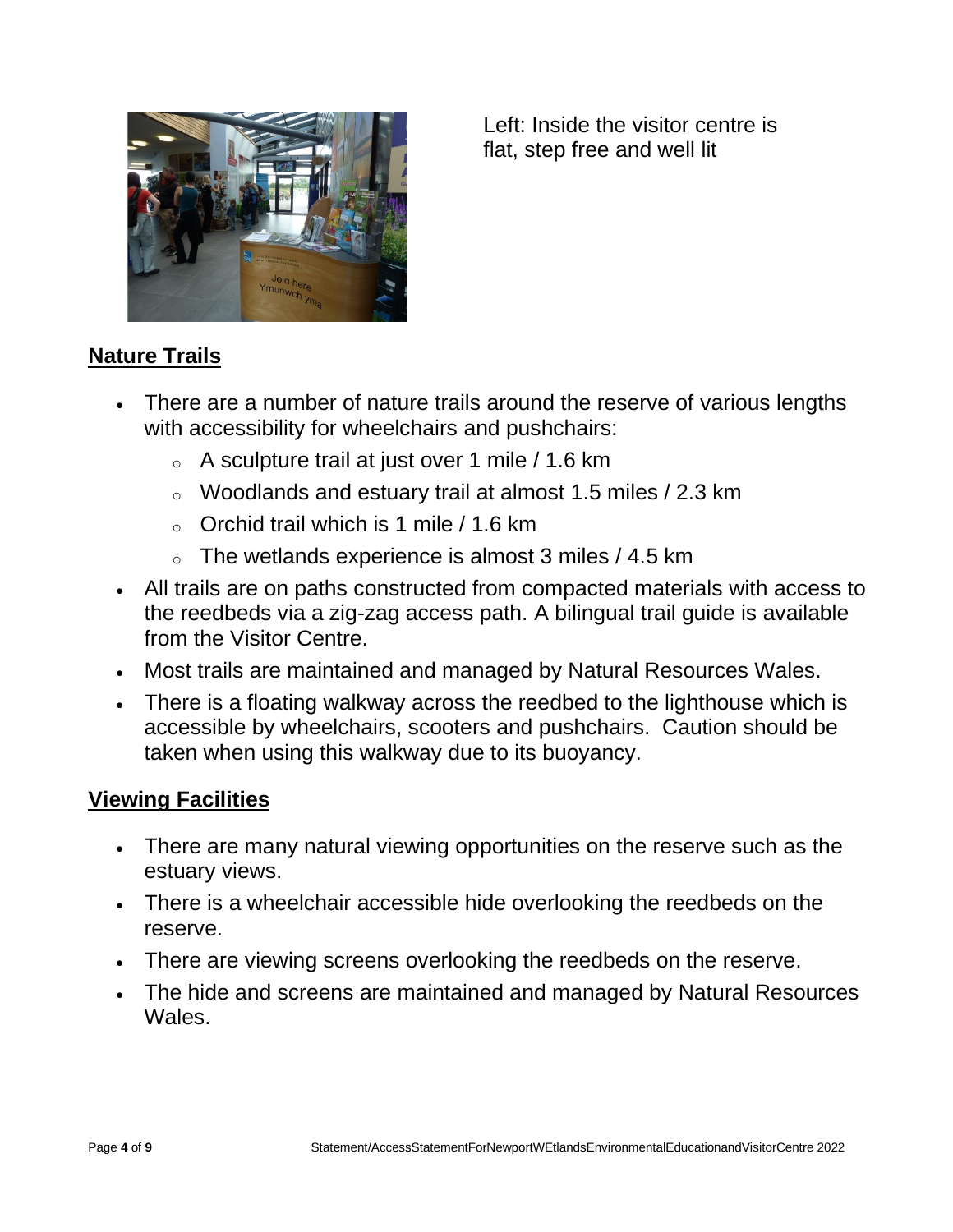

Left: Inside the visitor centre is flat, step free and well lit

# **Nature Trails**

- There are a number of nature trails around the reserve of various lengths with accessibility for wheelchairs and pushchairs:
	- $\circ$  A sculpture trail at just over 1 mile / 1.6 km
	- o Woodlands and estuary trail at almost 1.5 miles / 2.3 km
	- $\circ$  Orchid trail which is 1 mile / 1.6 km
	- $\circ$  The wetlands experience is almost 3 miles / 4.5 km
- All trails are on paths constructed from compacted materials with access to the reedbeds via a zig-zag access path. A bilingual trail guide is available from the Visitor Centre.
- Most trails are maintained and managed by Natural Resources Wales.
- There is a floating walkway across the reedbed to the lighthouse which is accessible by wheelchairs, scooters and pushchairs. Caution should be taken when using this walkway due to its buoyancy.

#### **Viewing Facilities**

- There are many natural viewing opportunities on the reserve such as the estuary views.
- There is a wheelchair accessible hide overlooking the reedbeds on the reserve.
- There are viewing screens overlooking the reedbeds on the reserve.
- The hide and screens are maintained and managed by Natural Resources Wales.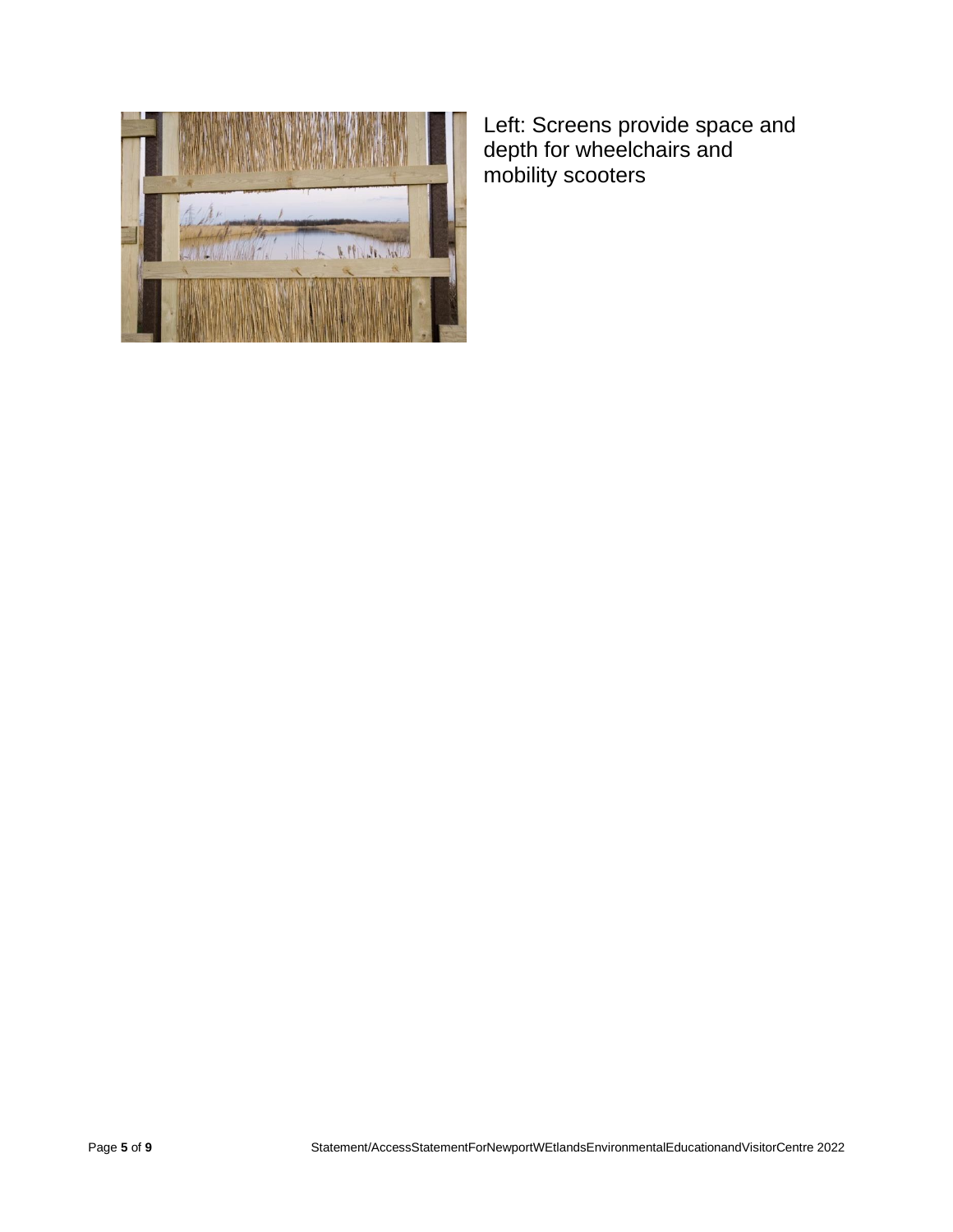

Left: Screens provide space and depth for wheelchairs and mobility scooters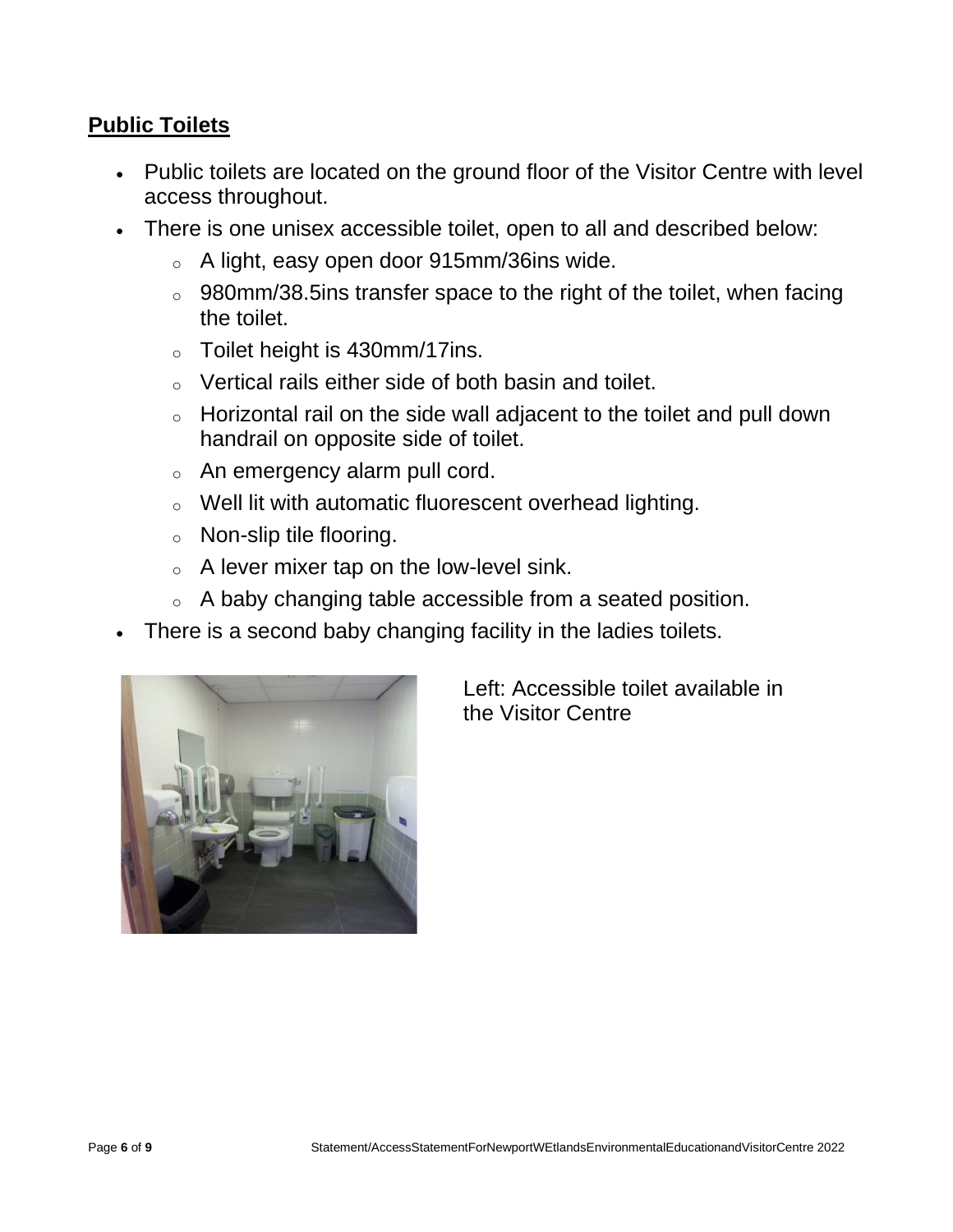#### **Public Toilets**

- Public toilets are located on the ground floor of the Visitor Centre with level access throughout.
- There is one unisex accessible toilet, open to all and described below:
	- o A light, easy open door 915mm/36ins wide.
	- o 980mm/38.5ins transfer space to the right of the toilet, when facing the toilet.
	- $\circ$  Toilet height is 430mm/17ins.
	- o Vertical rails either side of both basin and toilet.
	- o Horizontal rail on the side wall adjacent to the toilet and pull down handrail on opposite side of toilet.
	- o An emergency alarm pull cord.
	- o Well lit with automatic fluorescent overhead lighting.
	- o Non-slip tile flooring.
	- $\circ$  A lever mixer tap on the low-level sink.
	- o A baby changing table accessible from a seated position.
- There is a second baby changing facility in the ladies toilets.



Left: Accessible toilet available in the Visitor Centre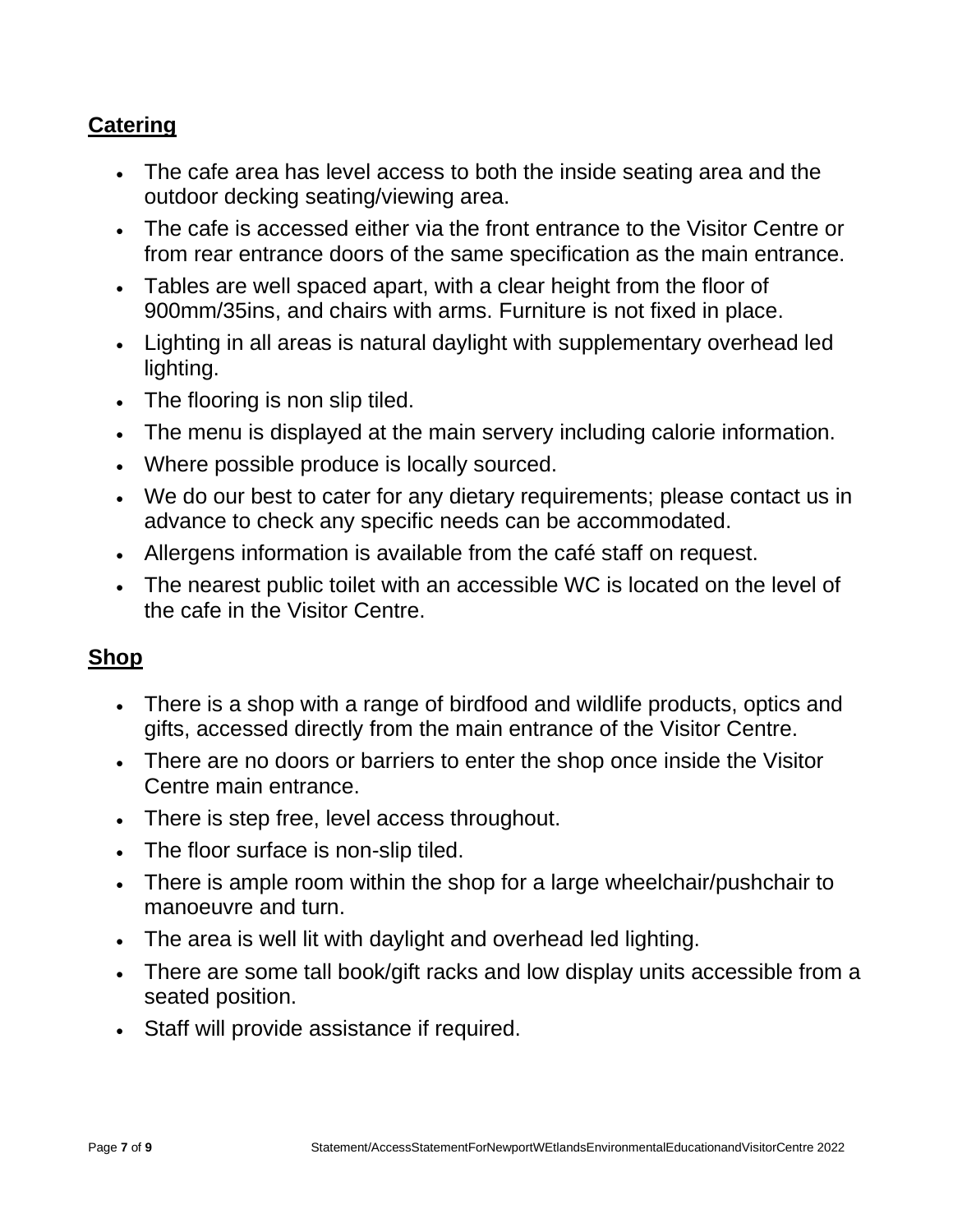# **Catering**

- The cafe area has level access to both the inside seating area and the outdoor decking seating/viewing area.
- The cafe is accessed either via the front entrance to the Visitor Centre or from rear entrance doors of the same specification as the main entrance.
- Tables are well spaced apart, with a clear height from the floor of 900mm/35ins, and chairs with arms. Furniture is not fixed in place.
- Lighting in all areas is natural daylight with supplementary overhead led lighting.
- The flooring is non slip tiled.
- The menu is displayed at the main servery including calorie information.
- Where possible produce is locally sourced.
- We do our best to cater for any dietary requirements; please contact us in advance to check any specific needs can be accommodated.
- Allergens information is available from the café staff on request.
- The nearest public toilet with an accessible WC is located on the level of the cafe in the Visitor Centre.

#### **Shop**

- There is a shop with a range of birdfood and wildlife products, optics and gifts, accessed directly from the main entrance of the Visitor Centre.
- There are no doors or barriers to enter the shop once inside the Visitor Centre main entrance.
- There is step free, level access throughout.
- The floor surface is non-slip tiled.
- There is ample room within the shop for a large wheelchair/pushchair to manoeuvre and turn.
- The area is well lit with daylight and overhead led lighting.
- There are some tall book/gift racks and low display units accessible from a seated position.
- Staff will provide assistance if required.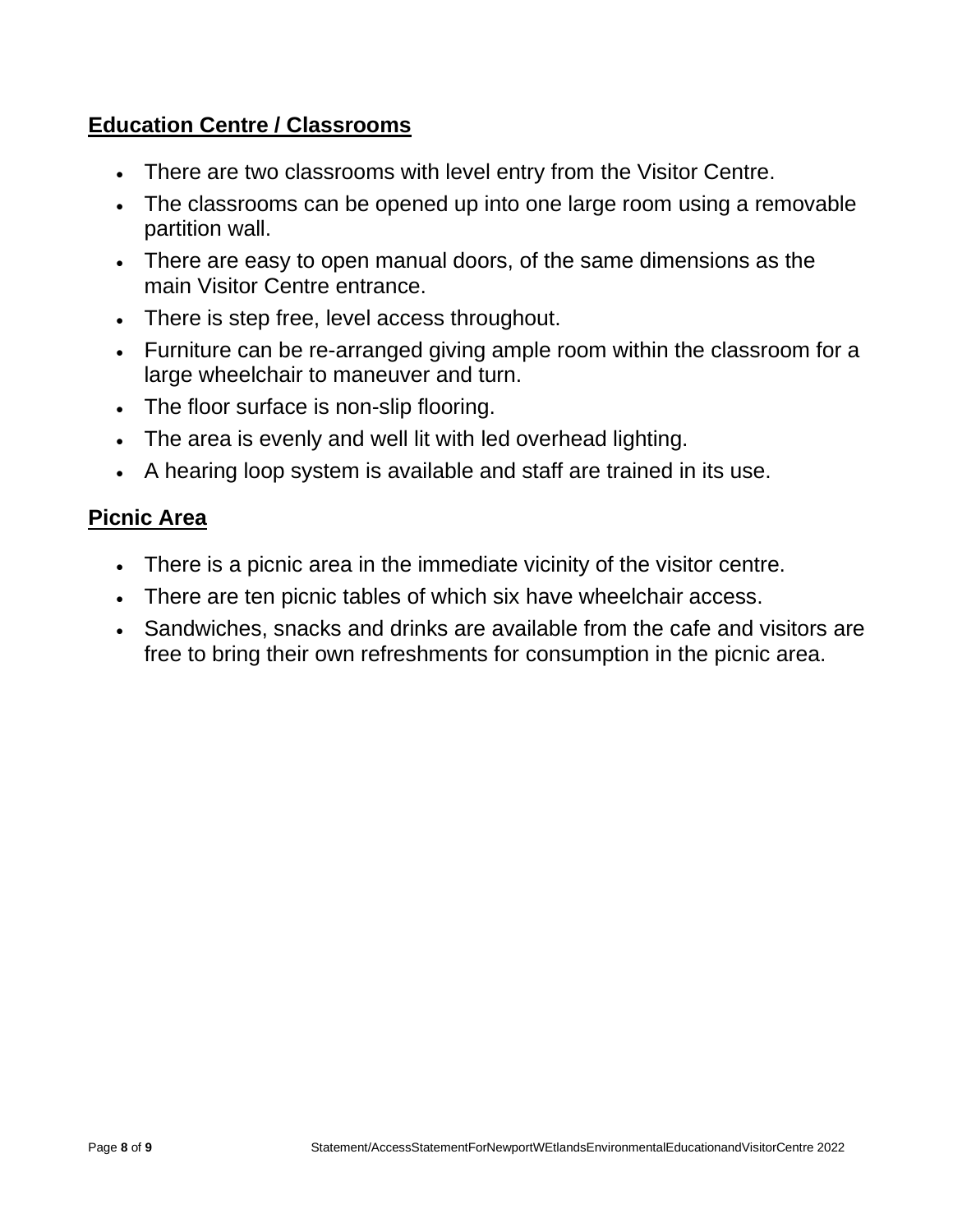### **Education Centre / Classrooms**

- There are two classrooms with level entry from the Visitor Centre.
- The classrooms can be opened up into one large room using a removable partition wall.
- There are easy to open manual doors, of the same dimensions as the main Visitor Centre entrance.
- There is step free, level access throughout.
- Furniture can be re-arranged giving ample room within the classroom for a large wheelchair to maneuver and turn.
- The floor surface is non-slip flooring.
- The area is evenly and well lit with led overhead lighting.
- A hearing loop system is available and staff are trained in its use.

#### **Picnic Area**

- There is a picnic area in the immediate vicinity of the visitor centre.
- There are ten picnic tables of which six have wheelchair access.
- Sandwiches, snacks and drinks are available from the cafe and visitors are free to bring their own refreshments for consumption in the picnic area.